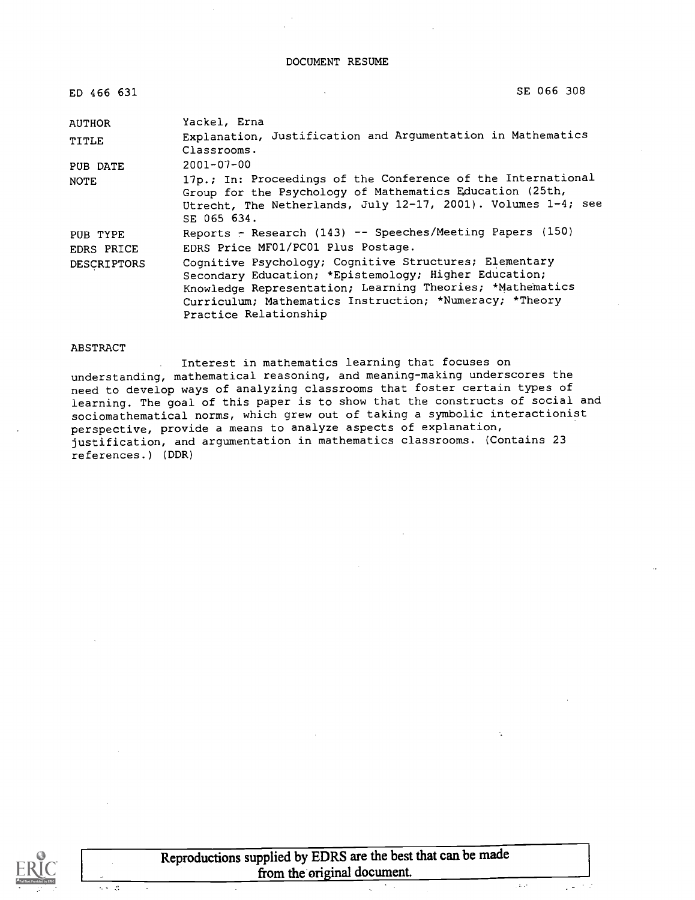| ED 466 631         | SE 066 308                                                                                                                                                                                                                                                       |
|--------------------|------------------------------------------------------------------------------------------------------------------------------------------------------------------------------------------------------------------------------------------------------------------|
| <b>AUTHOR</b>      | Yackel, Erna                                                                                                                                                                                                                                                     |
| TITLE              | Explanation, Justification and Argumentation in Mathematics<br>Classrooms.                                                                                                                                                                                       |
| PUB DATE           | $2001 - 07 - 00$                                                                                                                                                                                                                                                 |
| <b>NOTE</b>        | 17p.; In: Proceedings of the Conference of the International<br>Group for the Psychology of Mathematics Education (25th,<br>Utrecht, The Netherlands, July 12-17, 2001). Volumes 1-4; see<br>SE 065 634.                                                         |
| PUB TYPE           | Reports - Research (143) -- Speeches/Meeting Papers (150)                                                                                                                                                                                                        |
| EDRS PRICE         | EDRS Price MF01/PC01 Plus Postage.                                                                                                                                                                                                                               |
| <b>DESCRIPTORS</b> | Cognitive Psychology; Cognitive Structures; Elementary<br>Secondary Education; *Epistemology; Higher Education;<br>Knowledge Representation; Learning Theories; *Mathematics<br>Curriculum; Mathematics Instruction; *Numeracy; *Theory<br>Practice Relationship |

#### ABSTRACT

Interest in mathematics learning that focuses on understanding, mathematical reasoning, and meaning-making underscores the need to develop ways of analyzing classrooms that foster certain types of learning. The goal of this paper is to show that the constructs of social and sociomathematical norms, which grew out of taking a symbolic interactionist perspective, provide a means to analyze aspects of explanation, justification, and argumentation in mathematics classrooms. (Contains 23 references.) (DDR)



s e g

 $\bar{z}$  ,  $\bar{z}$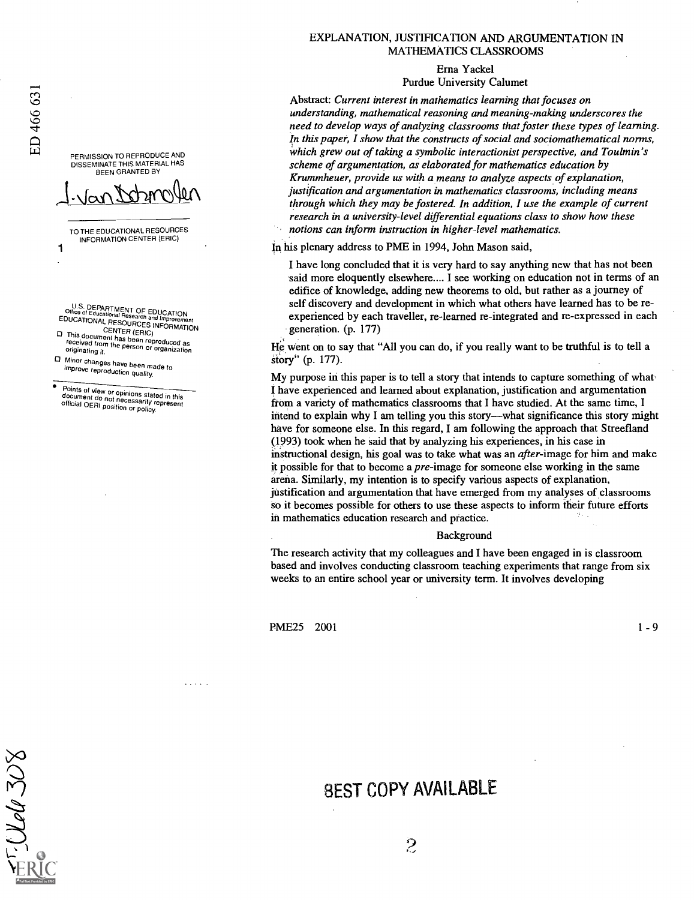#### EXPLANATION, JUSTIFICATION AND ARGUMENTATION IN MATHEMATICS CLASSROOMS

Erna Yackel Purdue University Calumet

Abstract: Current interest in mathematics learning that focuses on understanding, mathematical reasoning and meaning-making underscores the need to develop ways of analyzing classrooms that foster these types of learning. In this paper, I show that the constructs of social and sociomathematical norms, which grew out of taking a symbolic interactionist perspective, and Toulmin's scheme of argumentation, as elaborated for mathematics education by Krummheuer, provide us with a means to analyze aspects of explanation, justification and argumentation in mathematics classrooms, including means through which they may be fostered. In addition, I use the example of current research in a university-level differential equations class to show how these notions can inform instruction in higher-level mathematics.

In his plenary address to PME in 1994, John Mason said,

I have long concluded that it is very hard to say anything new that has not been said more eloquently elsewhere.... I see working on education not in terms of an edifice of knowledge, adding new theorems to old, but rather as a journey of self discovery and development in which what others have learned has to be reexperienced by each traveller, re-learned re-integrated and re-expressed in each generation. (p. 177)

He went on to say that "All you can do, if you really want to be truthful is to tell a story" (p. 177).

My purpose in this paper is to tell a story that intends to capture something of what I have experienced and learned about explanation, justification and argumentation from a variety of mathematics classrooms that I have studied. At the same time, I intend to explain why I am telling you this story—what significance this story might have for someone else. In this regard, I am following the approach that Streefland (1993) took when he said that by analyzing his experiences, in his case in instructional design, his goal was to take what was an *after*-image for him and make it possible for that to become a pre-image for someone else working in the same arena. Similarly, my intention is to specify various aspects of explanation, justification and argumentation that have emerged from my analyses of classrooms so it becomes possible for others to use these aspects to inform their future efforts in mathematics education research and practice.

#### Background

The research activity that my colleagues and I have been engaged in is classroom based and involves conducting classroom teaching experiments that range from six weeks to an entire school year or university term. It involves developing

PME25 2001 1 - 9

# ED 466 631

PERMISSION TO REPRODUCE AND DISSEMINATE THIS MATERIAL HAS BEEN GRANTED BY



TO THE EDUCATIONAL RESOURCES INFORMATION CENTER (ERIC) 1

- U.S. DEPARTMENT OF EDUCATION<br>Office of Educational Research and Improveme **EDUCATIONAL ALGOURGES INFORMATION**<br>EDUCATIONAL RESOURCES INFORMATION
- CENTER (ERIC)<br>
This document has been reproduced as<br>
received from the person or organization<br>
originating it.
- Minor changes have been made improve reproduction to quality.
- Points of view or opinions stated in this<br>document do not necessarily represent<br>official OERI position or policy.

BEST COPY AVAILABLE

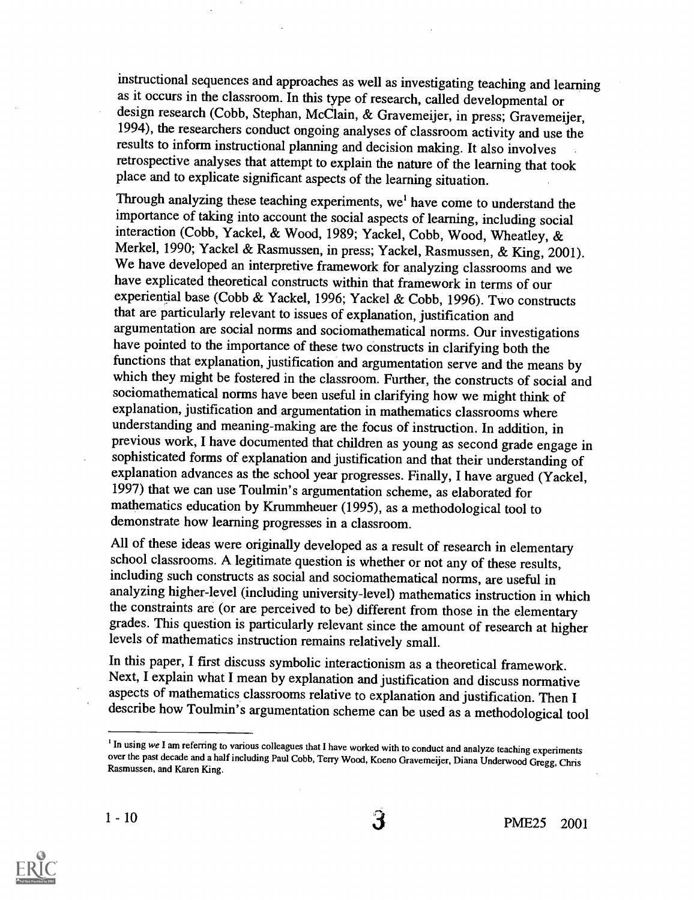instructional sequences and approaches as well as investigating teaching and learning as it occurs in the classroom. In this type of research, called developmental or design research (Cobb, Stephan, McClain, & Gravemeijer, in press; Gravemeijer, 1994), the researchers conduct ongoing analyses of classroom activity and use the results to inform instructional planning and decision making. It also involves retrospective analyses that attempt to explain the nature of the learning that took place and to explicate significant aspects of the learning situation.

Through analyzing these teaching experiments, we' have come to understand the importance of taking into account the social aspects of learning, including social interaction (Cobb, Yackel, & Wood, 1989; Yackel, Cobb, Wood, Wheatley, & Merkel, 1990; Yackel & Rasmussen, in press; Yackel, Rasmussen, & King, 2001). We have developed an interpretive framework for analyzing classrooms and we have explicated theoretical constructs within that framework in terms of our experiential base (Cobb & Yackel, 1996; Yackel & Cobb, 1996). Two constructs that are particularly relevant to issues of explanation, justification and argumentation are social norms and sociomathematical norms. Our investigations have pointed to the importance of these two constructs in clarifying both the functions that explanation, justification and argumentation serve and the means by which they might be fostered in the classroom. Further, the constructs of social and sociomathematical norms have been useful in clarifying how we might think of explanation, justification and argumentation in mathematics classrooms where understanding and meaning-making are the focus of instruction. In addition, in previous work, I have documented that children as young as second grade engage in explanation advances as the school year progresses. Finally, I have argued (Yackel, 1997) that we can use Toulmin's argumentation scheme, as elaborated for mathematics education by Krummheuer (1995), as a methodological tool to demonstrate how learning progresses in a classroom.

All of these ideas were originally developed as a result of research in elementary school classrooms. A legitimate question is whether or not any of these results, including such constructs as social and sociomathematical norms, are useful in analyzing higher-level (including university-level) mathematics instruction in which the constraints are (or are perceived to be) different from those in the elementary grades. This question is particularly relevant since the amount of research at higher levels of mathematics instruction remains relatively small.

In this paper, I first discuss symbolic interactionism as a theoretical framework. Next, I explain what I mean by explanation and justification and discuss normative aspects of mathematics classrooms relative to explanation and justification. Then I describe how Toulmin's argumentation scheme can be used as a methodological tool

<sup>&</sup>lt;sup>1</sup> In using we I am referring to various colleagues that I have worked with to conduct and analyze teaching experiments over the past decade and a half including Paul Cobb, Terry Wood, Koeno Gravemeijer, Diana Underwood Gregg, Chris Rasmussen, and Karen King.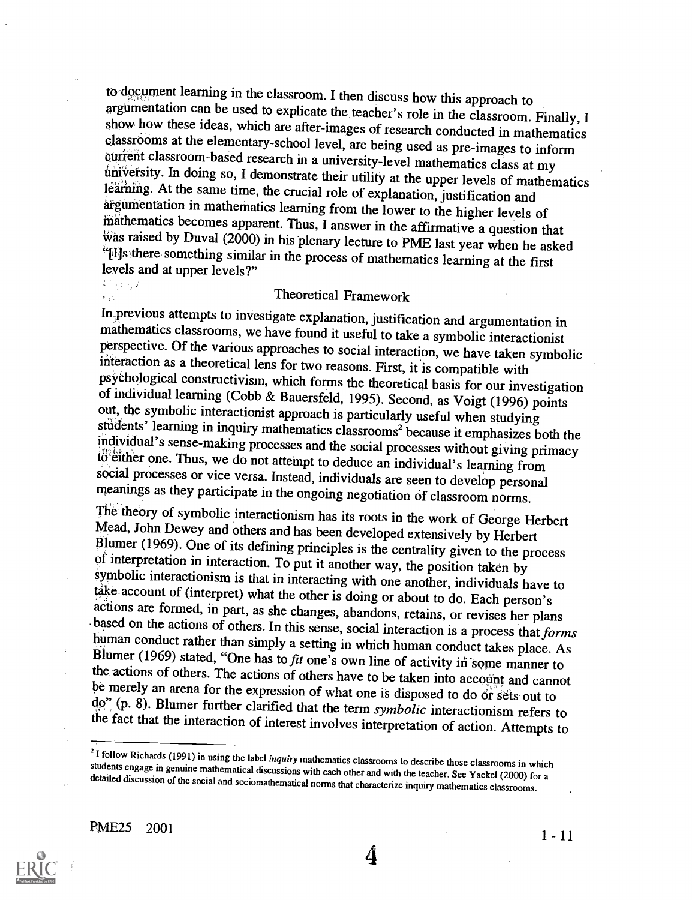to document learning in the classroom. I then discuss how this approach to<br>argumentation can be used to explicate the teacher's role in the classroom. Finally, I<br>show how these ideas, which are after-images of research co

Theoretical Framework<br>In previous attempts to investigate explanation, justification and argumentation in mathematics classrooms, we have found it useful to take a symbolic interactionist<br>perspective. Of the various approaches to social interaction, we have taken symbolic<br>interaction as a theoretical lens for two reasons. Firs of individual learning (Cobb & Bauersfeld, 1995). Second, as Voigt (1996) points<br>out, the symbolic interactionist approach is particularly useful when studying<br>students' learning in inquiry mathematics classrooms<sup>2</sup> becaus

Mead, John Dewey and others and has been developed extensively by Herbert<br>Blumer (1969). One of its defining principles is the centrality given to the process<br>of interpretation in interaction. To put it another way, the po take account of (interpret) what the other is doing or about to do. Each person's<br>actions are formed, in part, as she changes, abandons, retains, or revises her plans<br>based on the actions of others. In this sense, social

 $\frac{1}{2}$  ,  $\frac{1}{2}$  ,



 $^{2}$  I follow Richards (1991) in using the label *inquiry* mathematics classrooms to describe those classrooms in which students engage in genuine mathematical discussions with each other and with the teacher. See Yackel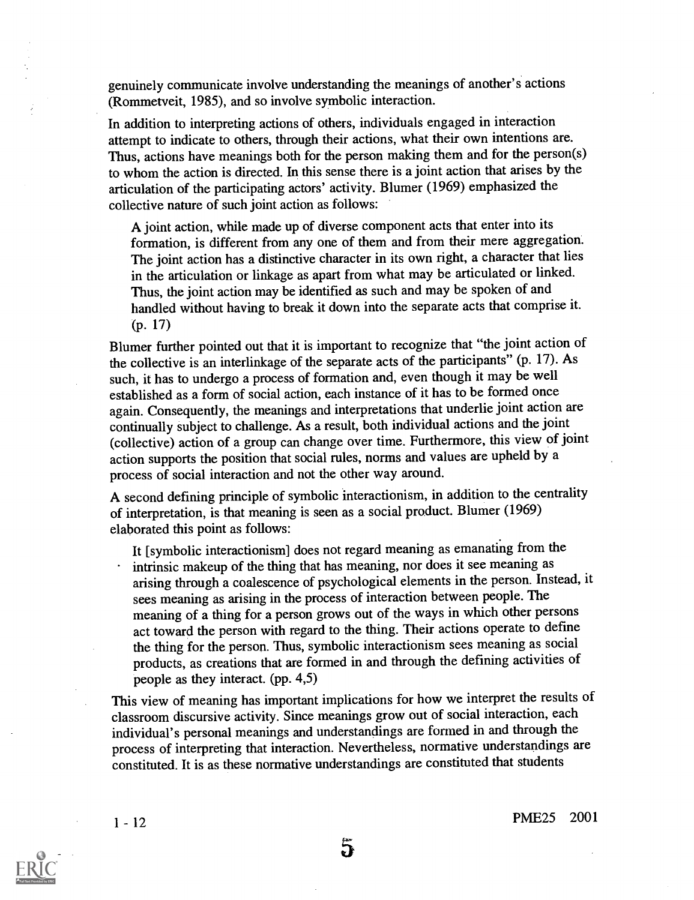genuinely communicate involve understanding the meanings of another's actions (Rommetveit, 1985), and so involve symbolic interaction.

In addition to interpreting actions of others, individuals engaged in interaction attempt to indicate to others, through their actions, what their own intentions are. Thus, actions have meanings both for the person making them and for the person(s) to whom the action is directed. In this sense there is a joint action that arises by the articulation of the participating actors' activity. Blumer (1969) emphasized the collective nature of such joint action as follows:

A joint action, while made up of diverse component acts that enter into its formation, is different from any one of them and from their mere aggregation. The joint action has a distinctive character in its own right, a character that lies in the articulation or linkage as apart from what may be articulated or linked. Thus, the joint action may be identified as such and may be spoken of and handled without having to break it down into the separate acts that comprise it. (p. 17)

Blumer further pointed out that it is important to recognize that "the joint action of the collective is an interlinkage of the separate acts of the participants" (p. 17). As such, it has to undergo a process of formation and, even though it may be well established as a form of social action, each instance of it has to be formed once again. Consequently, the meanings and interpretations that underlie joint action are continually subject to challenge. As a result, both individual actions and the joint (collective) action of a group can change over time. Furthermore, this view of joint action supports the position that social rules, norms and values are upheld by a process of social interaction and not the other way around.

A second defining principle of symbolic interactionism, in addition to the centrality of interpretation, is that meaning is seen as a social product. Blumer (1969) elaborated this point as follows:

It [symbolic interactionism] does not regard meaning as emanating from the intrinsic makeup of the thing that has meaning, nor does it see meaning as arising through a coalescence of psychological elements in the person. Instead, it sees meaning as arising in the process of interaction between people. The meaning of a thing for a person grows out of the ways in which other persons act toward the person with regard to the thing. Their actions operate to define the thing for the person. Thus, symbolic interactionism sees meaning as social products, as creations that are formed in and through the defining activities of people as they interact. (pp. 4,5)

This view of meaning has important implications for how we interpret the results of classroom discursive activity. Since meanings grow out of social interaction, each individual's personal meanings and understandings are formed in and through the process of interpreting that interaction. Nevertheless, normative understandings are constituted. It is as these normative understandings are constituted that students

1 - 12 PME25 2001



 $\bf 5$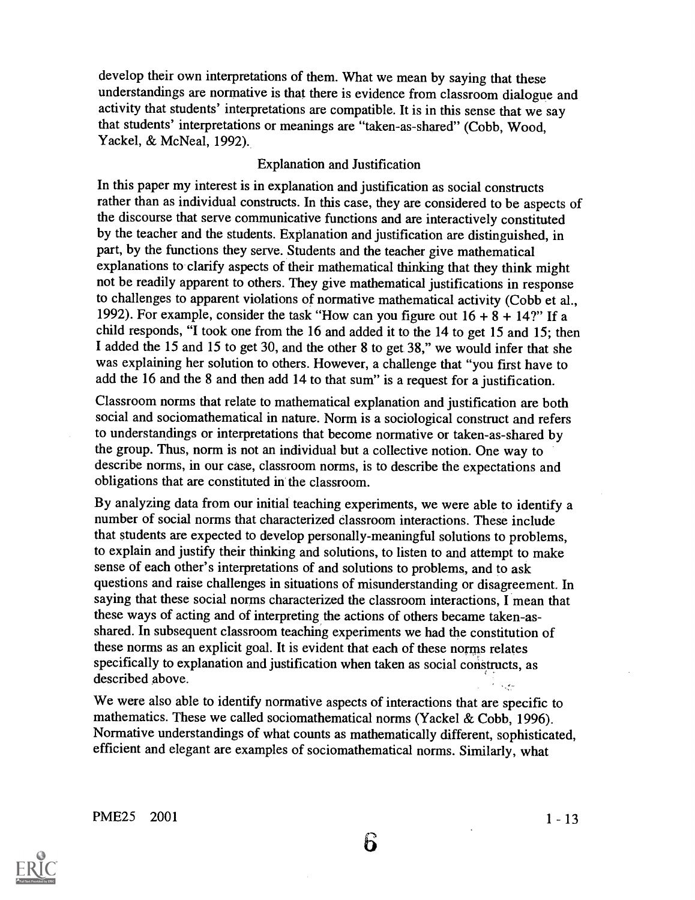develop their own interpretations of them. What we mean by saying that these understandings are normative is that there is evidence from classroom dialogue and activity that students' interpretations are compatible. It is in this sense that we say that students' interpretations or meanings are "taken-as-shared" (Cobb, Wood, Yackel, & McNeal, 1992).

## Explanation and Justification

In this paper my interest is in explanation and justification as social constructs rather than as individual constructs. In this case, they are considered to be aspects of the discourse that serve communicative functions and are interactively constituted by the teacher and the students. Explanation and justification are distinguished, in part, by the functions they serve. Students and the teacher give mathematical explanations to clarify aspects of their mathematical thinking that they think might not be readily apparent to others. They give mathematical justifications in response to challenges to apparent violations of normative mathematical activity (Cobb et al., 1992). For example, consider the task "How can you figure out  $16 + 8 + 14$ ?" If a child responds, "I took one from the 16 and added it to the 14 to get 15 and 15; then I added the 15 and 15 to get 30, and the other 8 to get 38," we would infer that she was explaining her solution to others. However, a challenge that "you first have to add the 16 and the 8 and then add 14 to that sum" is a request for a justification.

Classroom norms that relate to mathematical explanation and justification are both social and sociomathematical in nature. Norm is a sociological construct and refers to understandings or interpretations that become normative or taken-as-shared by the group. Thus, norm is not an individual but a collective notion. One way to describe norms, in our case, classroom norms, is to describe the expectations and obligations that are constituted in the classroom.

By analyzing data from our initial teaching experiments, we were able to identify a number of social norms that characterized classroom interactions. These include that students are expected to develop personally-meaningful solutions to problems, to explain and justify their thinking and solutions, to listen to and attempt to make sense of each other's interpretations of and solutions to problems, and to ask questions and raise challenges in situations of misunderstanding or disagreement. In saying that these social norms characterized the classroom interactions, I mean that these ways of acting and of interpreting the actions of others became taken-asshared. In subsequent classroom teaching experiments we had the constitution of these norms as an explicit goal. It is evident that each of these norms relates specifically to explanation and justification when taken as social constructs, as described above.

We were also able to identify normative aspects of interactions that are specific to mathematics. These we called sociomathematical norms (Yackel & Cobb, 1996). Normative understandings of what counts as mathematically different, sophisticated, efficient and elegant are examples of sociomathematical norms. Similarly, what

PME25 2001 1 - 13

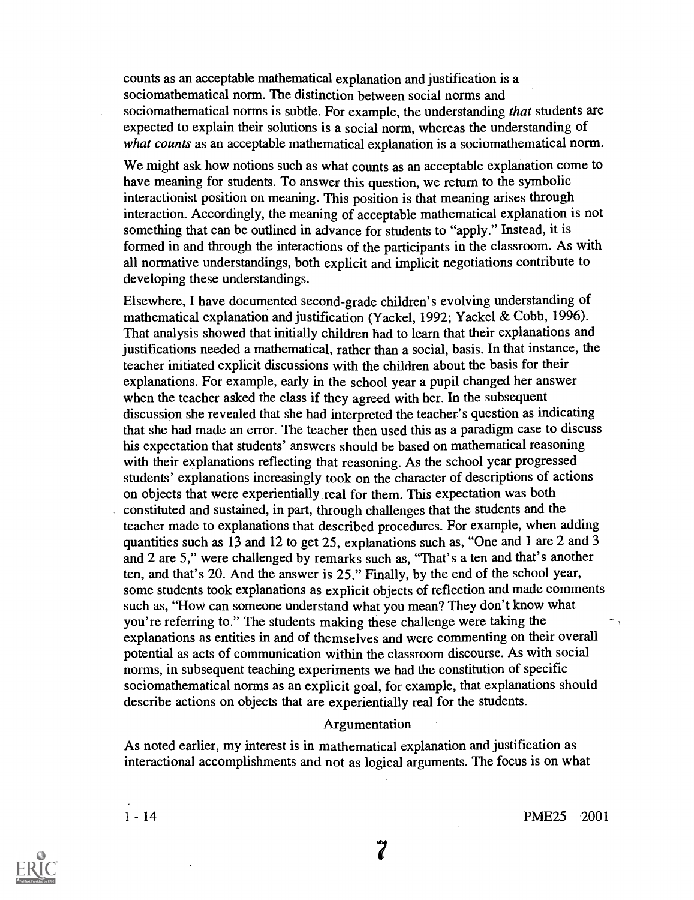counts as an acceptable mathematical explanation and justification is a sociomathematical norm. The distinction between social norms and sociomathematical norms is subtle. For example, the understanding that students are expected to explain their solutions is a social norm, whereas the understanding of what counts as an acceptable mathematical explanation is a sociomathematical norm.

We might ask how notions such as what counts as an acceptable explanation come to have meaning for students. To answer this question, we return to the symbolic interactionist position on meaning. This position is that meaning arises through interaction. Accordingly, the meaning of acceptable mathematical explanation is not something that can be outlined in advance for students to "apply." Instead, it is formed in and through the interactions of the participants in the classroom. As with all normative understandings, both explicit and implicit negotiations contribute to developing these understandings.

Elsewhere, I have documented second-grade children's evolving understanding of mathematical explanation and justification (Yackel, 1992; Yackel & Cobb, 1996). That analysis showed that initially children had to learn that their explanations and justifications needed a mathematical, rather than a social, basis. In that instance, the teacher initiated explicit discussions with the children about the basis for their explanations. For example, early in the school year a pupil changed her answer when the teacher asked the class if they agreed with her. In the subsequent discussion she revealed that she had interpreted the teacher's question as indicating that she had made an error. The teacher then used this as a paradigm case to discuss his expectation that students' answers should be based on mathematical reasoning with their explanations reflecting that reasoning. As the school year progressed students' explanations increasingly took on the character of descriptions of actions on objects that were experientially real for them. This expectation was both constituted and sustained, in part, through challenges that the students and the teacher made to explanations that described procedures. For example, when adding quantities such as 13 and 12 to get 25, explanations such as, "One and 1 are 2 and 3 and 2 are 5," were challenged by remarks such as, "That's a ten and that's another ten, and that's 20. And the answer is 25." Finally, by the end of the school year, some students took explanations as explicit objects of reflection and made comments such as, "How can someone understand what you mean? They don't know what you're referring to." The students making these challenge were taking the explanations as entities in and of themselves and were commenting on their overall potential as acts of communication within the classroom discourse. As with social norms, in subsequent teaching experiments we had the constitution of specific sociomathematical norms as an explicit goal, for example, that explanations should describe actions on objects that are experientially real for the students.

#### Argumentation

As noted earlier, my interest is in mathematical explanation and justification as interactional accomplishments and not as logical arguments. The focus is on what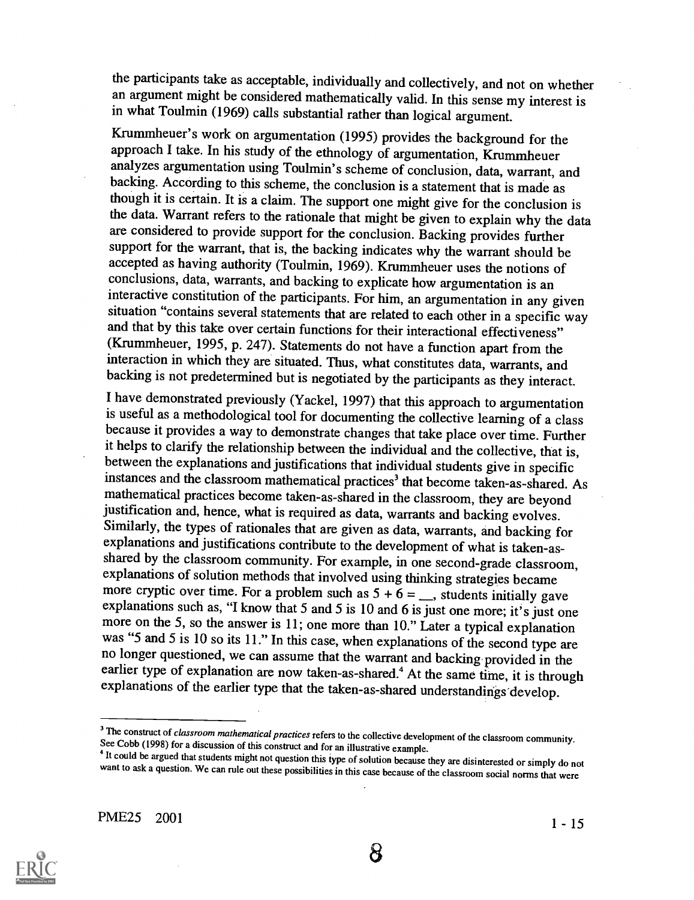the participants take as acceptable, individually and collectively, and not on whether an argument might be considered mathematically valid. In this sense my interest is in what Toulmin (1969) calls substantial rather than logical argument.

Krummheuer's work on argumentation (1995) provides the background for the approach I take. In his study of the ethnology of argumentation, Krummheuer analyzes argumentation using Toulmin's scheme of conclusion, data, warrant, and backing. According to this scheme, the conclusion is a statement that is made as though it is certain. It is a claim. The support one might give for the conclusion is the data. Warrant refers to the rationale that might be given to explain why the data<br>are considered to provide support for the conclusion. Backing provides further support for the warrant, that is, the backing indicates why the warrant should be accepted as having authority (Toulmin, 1969). Krummheuer uses the notions of conclusions, data, warrants, and backing to explicate how argumentation is an interactive constitution of the participants. For him, an argumentation in any given situation "contains several statements that are related to each other in a specific way and that by this take over certain functions for their interactional effectiveness" (Krummheuer, 1995, p. 247). Statements do not have a function apart from the interaction in which they are situated. Thus, what constitutes data, warrants, and backing is not predetermined but is negotiated by the participants as they interact.

I have demonstrated previously (Yackel, 1997) that this approach to argumentation is useful as a methodological tool for documenting the collective learning of a class because it provides a way to demonstrate changes that take place over time. Further it helps to clarify the relationship between the individual and the collective, that is, between the explanations and justifications that individual students give in specific instances and the classroom mathematical practices' that become taken-as-shared. As mathematical practices become taken-as-shared in the classroom, they are beyond justification and, hence, what is required as data, warrants and backing evolves. Similarly, the types of rationales that are given as data, warrants, and backing for explanations and justifications contribute to the development of what is taken-asshared by the classroom community. For example, in one second-grade classroom, explanations of solution methods that involved using thinking strategies became more cryptic over time. For a problem such as  $5 + 6 = \_$ , students initially gave explanations such as, "I know that 5 and 5 is 10 and 6 is just one more; it's just one more on the 5, so the answer is 11; one more than 10." Later a typical explanation was "5 and 5 is 10 so its 11." In this case, when explanations of the second type are no longer questioned, we can assume that the warrant and backing provided in the earlier type of explanation are now taken-as-shared.<sup>4</sup> At the same time, it is through explanations of the earlier type that the taken-as-shared understandings'develop.

<sup>&</sup>lt;sup>3</sup> The construct of *classroom mathematical practices* refers to the collective development of the classroom community. See Cobb (1998) for a discussion of this construct and for an illustrative example.<br><sup>4</sup> It could be

want to ask a question. We can rule out these possibilities in this case because of the classroom social norms that were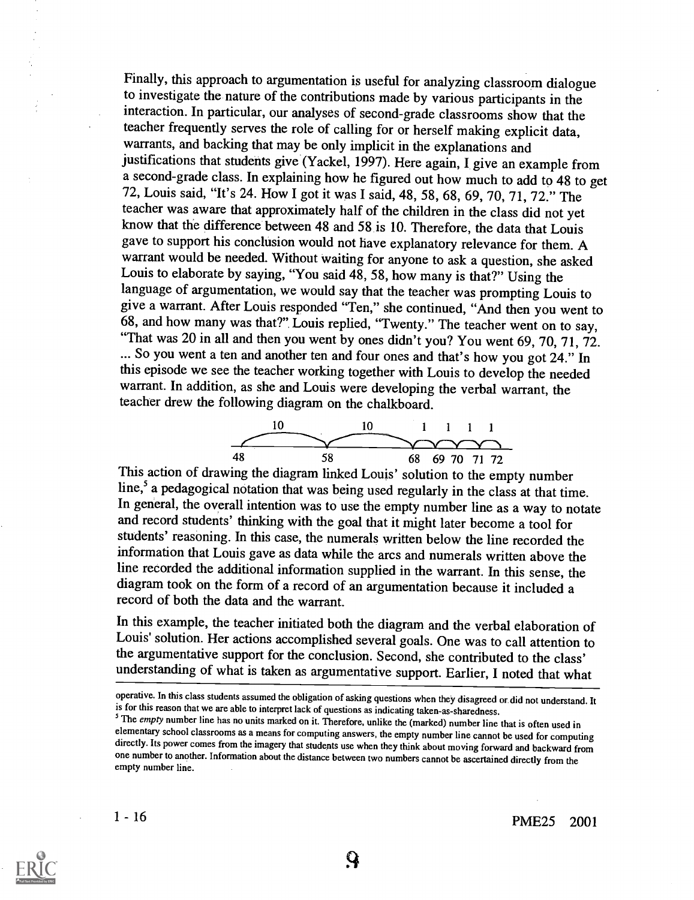Finally, this approach to argumentation is useful for analyzing classroom dialogue to investigate the nature of the contributions made by various participants in the interaction. In particular, our analyses of second-grade classrooms show that the teacher frequently serves the role of calling for or herself making explicit data, warrants, and backing that may be only implicit in the explanations and justifications that students give (Yackel, 1997). Here again, I give an example from<br>a second-grade class. In explaining how he figured out how much to add to 48 to get 72, Louis said, "It's 24. How I got it was I said, 48, 58, 68, 69, 70, 71, 72." The teacher was aware that approximately half of the children in the class did not yet know that the difference between 48 and 58. is 10. Therefore, the data that Louis gave to support his conclusion would not have explanatory relevance for them. A warrant would be needed. Without waiting for anyone to ask a question, she asked Louis to elaborate by saying, "You said  $48$ , 58, how many is that?" Using the language of argumentation, we would say that the teacher was prompting Louis to give a warrant. After Louis responded "Ten," she continued, "And then you went to 68, and how many was that?" Louis replied, "Twenty." The teacher went on to say, "That was 20 in all and then you went by ones didn't you? You went 69, 70, 71, 72. ... So you went a ten and another ten and four ones and that's how you got 24." In

this episode we see the teacher working together with Louis to develop the needed warrant. In addition, as she and Louis were developing the verbal warrant, the teacher drew the following diagram on the chalkboard.



This action of drawing the diagram linked Louis' solution to the empty number line,<sup>5</sup> a pedagogical notation that was being used regularly in the class at that time. In general, the overall intention was to use the empty number line as a way to notate and record students' thinking with the goal that it might later become a tool for students' reasoning. In this case, the numerals written below the line recorded the information that Louis gave as data while the arcs and numerals written above the line recorded the additional information supplied in the warrant. In this sense, the diagram took on the form of a record of an argumentation because it included a record of both the data and the warrant.

In this example, the teacher initiated both the diagram and the verbal elaboration of Louis' solution. Her actions accomplished several goals. One was to call attention to the argumentative support for the conclusion. Second, she contributed to the class' understanding of what is taken as argumentative support. Earlier, I noted that what

1 - 16 PME25 2001



operative. In this class students assumed the obligation of asking questions when they disagreed or did not understand. It is for this reason that we are able to interpret lack of questions as indicating taken-as-sharedness.

<sup>&</sup>lt;sup>5</sup> The empty number line has no units marked on it. Therefore, unlike the (marked) number line that is often used in elementary school classrooms as a means for computing answers, the empty number line cannot be used for computing directly. Its power comes from the imagery that students use when they think about moving forward and backward from one number to another. Information about the distance between two numbers cannot be ascertained directly from the empty number line.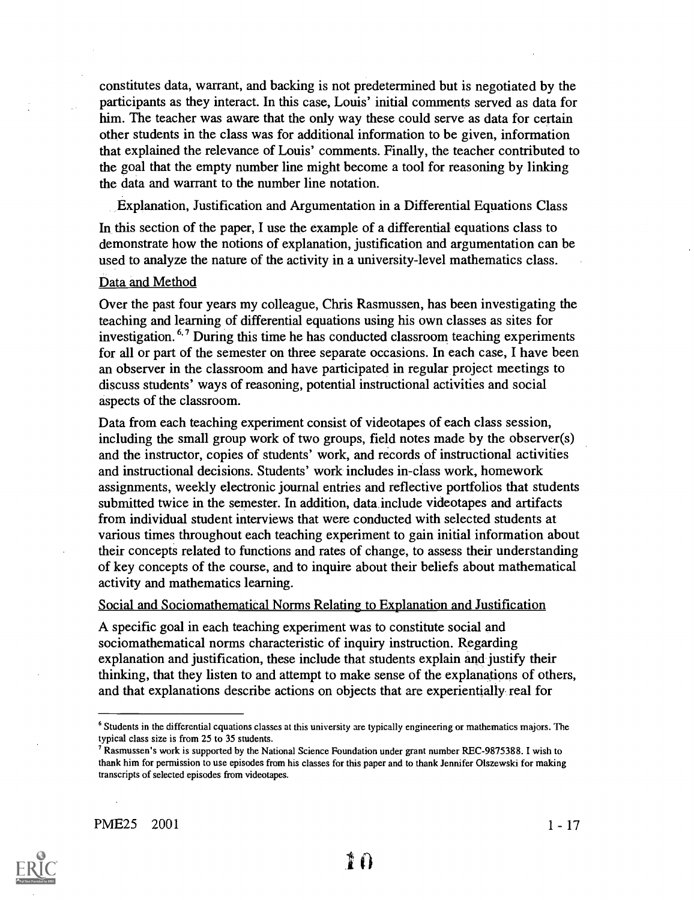constitutes data, warrant, and backing is not predetermined but is negotiated by the participants as they interact. In this case, Louis' initial comments served as data for him. The teacher was aware that the only way these could serve as data for certain other students in the class was for additional information to be given, information that explained the relevance of Louis' comments. Finally, the teacher contributed to the goal that the empty number line might become a tool for reasoning by linking the data and warrant to the number line notation.

Explanation, Justification and Argumentation in a Differential Equations Class

In this section of the paper, I use the example of a differential equations class to demonstrate how the notions of explanation, justification and argumentation can be used to analyze the nature of the activity in a university-level mathematics class.

#### Data and Method

Over the past four years my colleague, Chris Rasmussen, has been investigating the teaching and learning of differential equations using his own classes as sites for investigation. 6,7 During this time he has conducted classroom teaching experiments for all or part of the semester on three separate occasions. In each case, I have been an observer in the classroom and have participated in regular project meetings to discuss students' ways of reasoning, potential instructional activities and social aspects of the classroom.

Data from each teaching experiment consist of videotapes of each class session, including the small group work of two groups, field notes made by the observer(s) and the instructor, copies of students' work, and records of instructional activities and instructional decisions. Students' work includes in-class work, homework assignments, weekly electronic journal entries and reflective portfolios that students submitted twice in the semester. In addition, data include videotapes and artifacts from individual student interviews that were conducted with selected students at various times throughout each teaching experiment to gain initial information about their concepts related to functions and rates of change, to assess their understanding of key concepts of the course, and to inquire about their beliefs about mathematical activity and mathematics learning.

#### Social and Sociomathematical Norms Relating to Explanation and Justification

A specific goal in each teaching experiment was to constitute social and sociomathematical norms characteristic of inquiry instruction. Regarding explanation and justification, these include that students explain and justify their thinking, that they listen to and attempt to make sense of the explanations of others, and that explanations describe actions on objects that are experientially real for

<sup>6</sup> Students in the differential equations classes at this university are typically engineering or mathematics majors. The typical class size is from 25 to 35 students.

<sup>7</sup> Rasmussen's work is supported by the National Science Foundation under grant number REC-9875388. I wish to thank him for permission to use episodes from his classes for this paper and to thank Jennifer Olszewski for making transcripts of selected episodes from videotapes.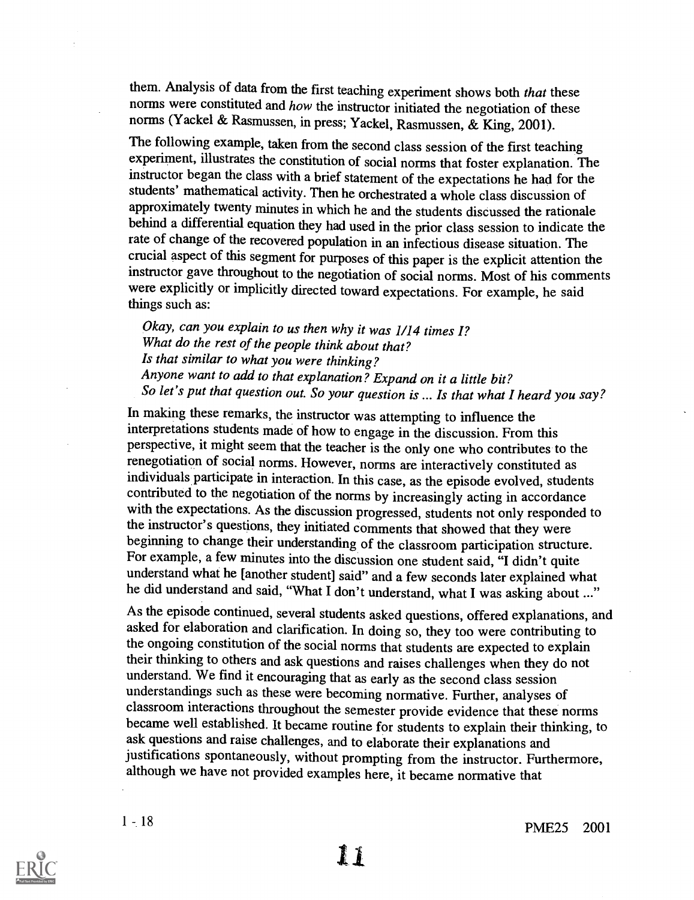them. Analysis of data from the first teaching experiment shows both *that* these norms were constituted and *how* the instructor initiated the negotiation of these norms (Yackel & Rasmussen, in press; Yackel, Rasmussen, & King, 2001).

The following example, taken from the second class session of the first teaching experiment, illustrates the constitution of social norms that foster explanation. The instructor began the class with a brief statement of the expectations he had for the students' mathematical activity. Then he orchestrated a whole class discussion of approximately twenty minutes in which he and the students discussed the rationale behind a differential equation they had used in the prior class session to indicate the rate of change of the recovered population in an infectious disease situation. The crucial aspect of this segment for purposes of this paper is the explicit attention the instructor gave throughout to the negotiation of social norms. Most of his comments were explicitly or implicitly directed toward expectations. For example, he said things such as:

Okay, can you explain to us then why it was 1/14 times I? What do the rest of the people think about that? Is that similar to what you were thinking?<br>Anyone want to add to that explanation? Expand on it a little bit? So let's put that question out. So your question is ... Is that what I heard you say?

In making these remarks, the instructor was attempting to influence the interpretations students made of how to engage in the discussion. From this perspective, it might seem that the teacher is the only one who contributes to the renegotiation of social norms. However, norms are interactively constituted as contributed to the negotiation of the norms by increasingly acting in accordance with the expectations. As the discussion progressed, students not only responded to the instructor's questions, they initiated comments that showed that they were beginning to change their understanding of the classroom participation structure.<br>For example, a few minutes into the discussion one student said, "I didn't quite understand what he [another student] said" and a few second he did understand and said, "What I don't understand, what I was asking about ..."

As the episode continued, several students asked questions, offered explanations, and asked for elaboration and clarification. In doing so, they too were contributing to the ongoing constitution of the social norms that students are expected to explain<br>their thinking to others and ask questions and raises challenges when they do not understand. We find it encouraging that as early as the second class session understandings such as these were becoming normative. Further, analyses of classroom interactions throughout the semester provide evidence that these norms became well established. It became routine for students to explain their thinking, to ask questions and raise challenges, and to elaborate their explanations and justifications spontaneously, without prompting from the instructor. Furthermore, although we have not provided examples here, it became normative that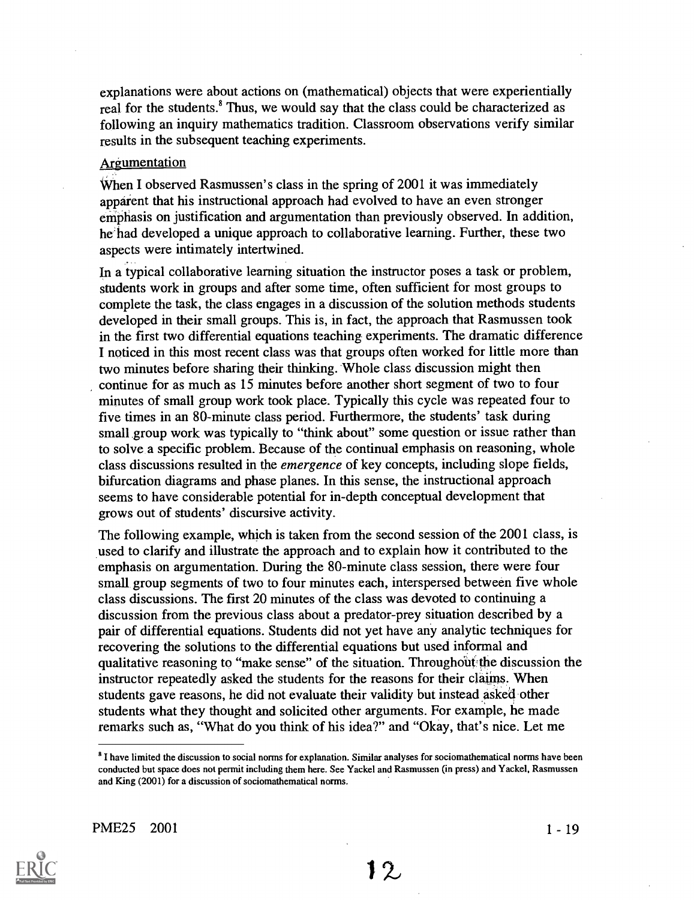explanations were about actions on (mathematical) objects that were experientially real for the students.<sup>8</sup> Thus, we would say that the class could be characterized as following an inquiry mathematics tradition. Classroom observations verify similar results in the subsequent teaching experiments.

#### Argumentation

When I observed Rasmussen's class in the spring of 2001 it was immediately apparent that his instructional approach had evolved to have an even stronger emphasis on justification and argumentation than previously observed. In addition, he: had developed a unique approach to collaborative learning. Further, these two aspects were intimately intertwined.

In a typical collaborative learning situation the instructor poses a task or problem, students work in groups and after some time, often sufficient for most groups to complete the task, the class engages in a discussion of the solution methods students developed in their small groups. This is, in fact, the approach that Rasmussen took in the first two differential equations teaching experiments. The dramatic difference I noticed in this most recent class was that groups often worked for little more than two minutes before sharing their thinking. Whole class discussion might then continue for as much as 15 minutes before another short segment of two to four minutes of small group work took place. Typically this cycle was repeated four to five times in an 80-minute class period. Furthermore, the students' task during small group work was typically to "think about" some question or issue rather than to solve a specific problem. Because of the continual emphasis on reasoning, whole class discussions resulted in the emergence of key concepts, including slope fields, bifurcation diagrams and phase planes. In this sense, the instructional approach seems to have considerable potential for in-depth conceptual development that grows out of students' discursive activity.

The following example, which is taken from the second session of the 2001 class, is used to clarify and illustrate the approach and to explain how it contributed to the emphasis on argumentation. During the 80-minute class session, there were four small group segments of two to four minutes each, interspersed between five whole class discussions. The first 20 minutes of the class was devoted to continuing a discussion from the previous class about a predator-prey situation described by a pair of differential equations. Students did not yet have any analytic techniques for recovering the solutions to the differential equations but used informal and qualitative reasoning to "make sense" of the situation. Throughout the discussion the instructor repeatedly asked the students for the reasons for their claims. When students gave reasons, he did not evaluate their validity but instead asked other students what they thought and solicited other arguments. For example, he made remarks such as, "What do you think of his idea?" and "Okay, that's nice. Let me

<sup>&</sup>lt;sup>8</sup> I have limited the discussion to social norms for explanation. Similar analyses for sociomathematical norms have been conducted but space does not permit including them here. See Yackel and Rasmussen (in press) and Yackel, Rasmussen and King (2001) for a discussion of sociomathematical norms.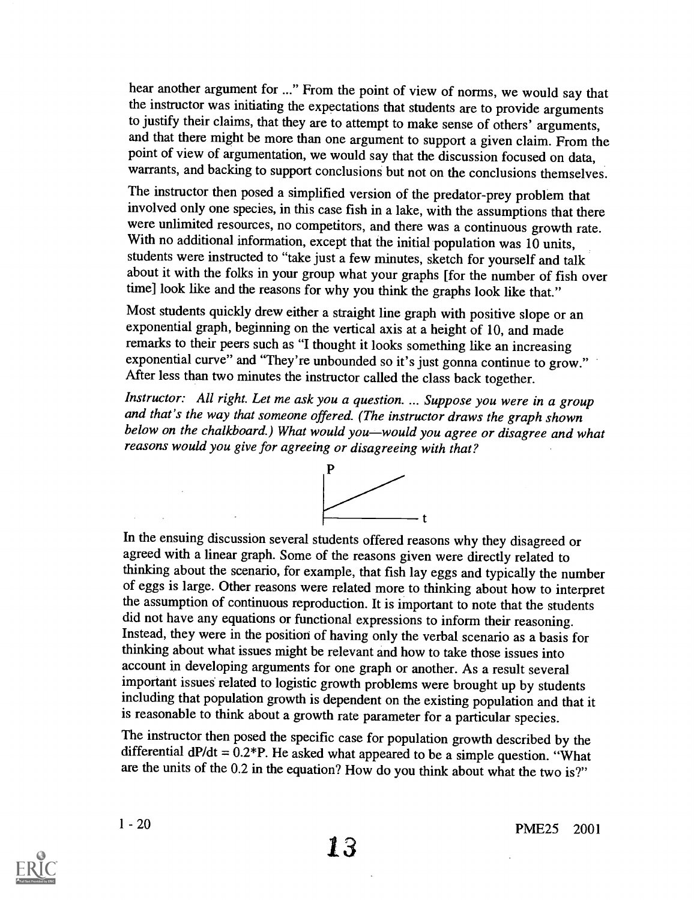hear another argument for ..." From the point of view of norms, we would say that the instructor was initiating the expectations that students are to provide arguments to justify their claims, that they are to attempt to make sense of others' arguments, and that there might be more than one argument to support a given claim. From the point of view of argumentation, we would say that the discussion focused on data, warrants, and backing to support conclusions but not on the conclusions themselves.

The instructor then posed a simplified version of the predator-prey problem that involved only one species, in this case fish in a lake, with the assumptions that there were unlimited resources, no competitors, and there was a continuous growth rate. With no additional information, except that the initial population was 10 units, students were instructed to "take just a few minutes, sketch for yourself and talk about it with the folks in your group what your graphs [for the number of fish over time] look like and the reasons for why you think the graphs look like that."

Most students quickly drew either a straight line graph with positive slope or an exponential graph, beginning on the vertical axis at a height of 10, and made remarks to their peers such as "I thought it looks something like an increasing exponential curve" and "They're unbounded so it's just gonna continue to grow." After less than two minutes the instructor called the class back together.

Instructor: All right. Let me ask you a question. ... Suppose you were in a group and that's the way that someone offered. (The instructor draws the graph shown below on the chalkboard.) What would you—would you agree or disagree and what reasons would you give for agreeing or disagreeing with that?



In the ensuing discussion several students offered reasons why they disagreed or agreed with a linear graph. Some of the reasons given were directly related to thinking about the scenario, for example, that fish lay eggs and typically the number of eggs is large. Other reasons were related more to thinking about how to interpret the assumption of continuous reproduction. It is important to note that the students did not have any equations or functional expressions to inform their reasoning. Instead, they were in the position of having only the verbal scenario as a basis for thinking about what issues might be relevant and how to take those issues into account in developing arguments for one graph or another. As a result several important issues related to logistic growth problems were brought up by students is reasonable to think about a growth rate parameter for a particular species.

The instructor then posed the specific case for population growth described by the differential dP/dt =  $0.2*$ P. He asked what appeared to be a simple question. "What are the units of the 0.2 in the equation? How do you think about what the two is?"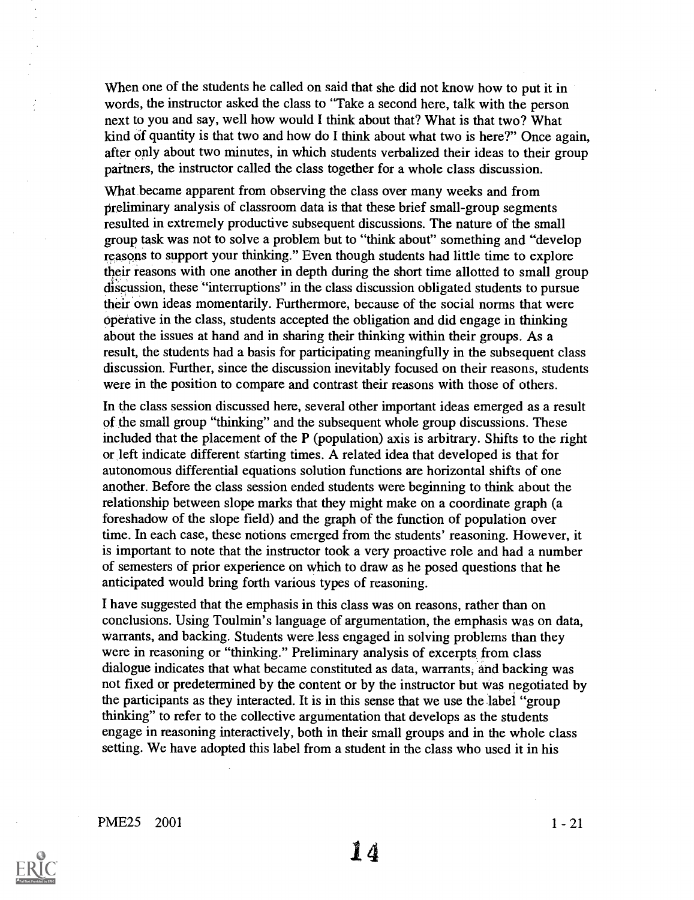When one of the students he called on said that she did not know how to put it in words, the instructor asked the class to "Take a second here, talk with the person next to you and say, well how would I think about that? What is that two? What kind of quantity is that two and how do I think about what two is here?" Once again, after only about two minutes, in which students verbalized their ideas to their group partners, the instructor called the class together for a whole class discussion.

What became apparent from observing the class over many weeks and from preliminary analysis of classroom data is that these brief small-group segments resulted in extremely productive subsequent discussions. The nature of the small group task was not to solve a problem but to "think about" something and "develop reasons to support your thinking." Even though students had little time to explore their reasons with one another in depth during the short time allotted to small group discussion, these "interruptions" in the class discussion obligated students to pursue their own ideas momentarily. Furthermore, because of the social norms that were operative in the class, students accepted the obligation and did engage in thinking about the issues at hand and in sharing their thinking within their groups. As a result, the students had a basis for participating meaningfully in the subsequent class discussion. Further, since the discussion inevitably focused on their reasons, students were in the position to compare and contrast their reasons with those of others.

In the class session discussed here, several other important ideas emerged as a result of the small group "thinking" and the subsequent whole group discussions. These included that the placement of the P (population) axis is arbitrary. Shifts to the right or, left indicate different starting times. A related idea that developed is that for autonomous differential equations solution functions are horizontal shifts of one another. Before the class session ended students were beginning to think about the relationship between slope marks that they might make on a coordinate graph (a foreshadow of the slope field) and the graph of the function of population over time. In each case, these notions emerged from the students' reasoning. However, it is important to note that the instructor took a very proactive role and had a number of semesters of prior experience on which to draw as he posed questions that he anticipated would bring forth various types of reasoning.

I have suggested that the emphasis in this class was on reasons, rather than on conclusions. Using Toulmin's language of argumentation, the emphasis was on data, warrants, and backing. Students were less engaged in solving problems than they were in reasoning or "thinking." Preliminary analysis of excerpts from class dialogue indicates that what became constituted as data, warrants, and backing was not fixed or predetermined by the content or by the instructor but was negotiated by the participants as they interacted. It is in this sense that we use the label "group thinking" to refer to the collective argumentation that develops as the students engage in reasoning interactively, both in their small groups and in the whole class setting. We have adopted this label from a student in the class who used it in his

PME25 2001 1 - 21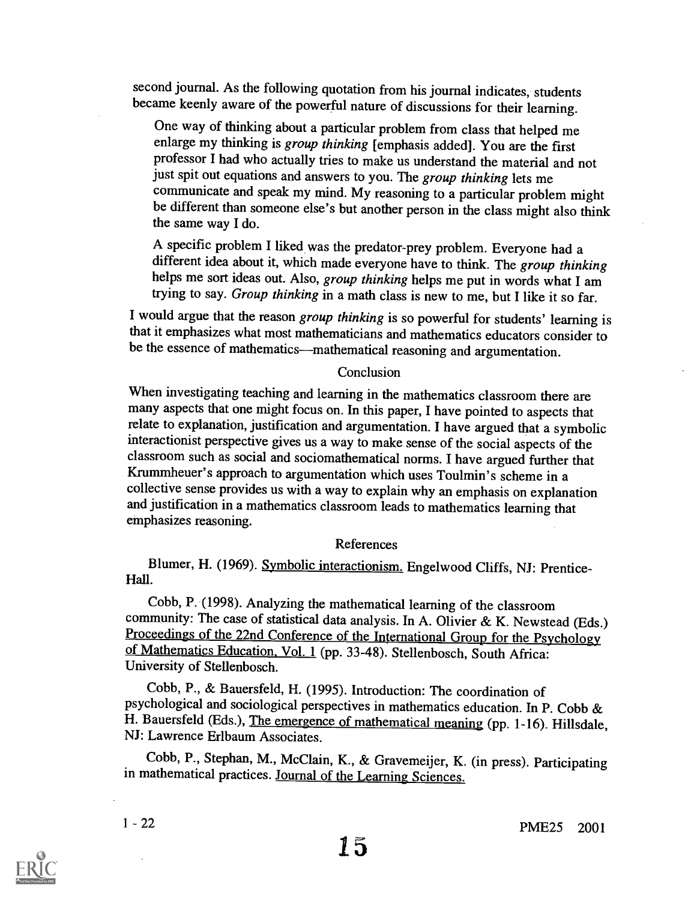second journal. As the following quotation from his journal indicates, students became keenly aware of the powerful nature of discussions for their learning.

One way of thinking about a particular problem from class that helped me enlarge my thinking is group thinking [emphasis added]. You are the first professor I had who actually tries to make us understand the material and not just spit out equations and answers to you. The group thinking lets me communicate and speak my mind. My reasoning to a particular problem might be different than someone else's but another person in the class might also think the same way I do.

A specific problem I liked was the predator-prey problem. Everyone had a different idea about it, which made everyone have to think. The group thinking helps me sort ideas out. Also, group thinking helps me put in words what I am trying to say. Group thinking in a math class is new to me, but I like it so far.

I would argue that the reason group thinking is so powerful for students' learning is that it emphasizes what most mathematicians and mathematics educators consider to be the essence of mathematics—mathematical reasoning and argumentation.

## Conclusion

When investigating teaching and learning in the mathematics classroom there are many aspects that one might focus on. In this paper, I have pointed to aspects that relate to explanation, justification and argumentation. I have argued that a symbolic interactionist perspective gives us a way to make sense of the social aspects of the classroom such as social and sociomathematical norms. I have argued further that Krummheuer's approach to argumentation which uses Toulmin's scheme in a collective sense provides us with a way to explain why an emphasis on explanation and justification in a mathematics classroom leads to mathematics learning that emphasizes reasoning.

### References

Blumer, H. (1969). Symbolic interactionism. Engelwood Cliffs, NJ: Prentice-Hall.

Cobb, P. (1998). Analyzing the mathematical learning of the classroom community: The case of statistical data analysis. In A. Olivier & K. Newstead (Eds.) Proceedings of the 22nd Conference of the International Group for the Psychology of Mathematics Education. Vol. 1 (pp. 33-48). Stellenbosch, South Africa: University of Stellenbosch.

Cobb, P., & Bauersfeld, H. (1995). Introduction: The coordination of psychological and sociological perspectives in mathematics education. In P. Cobb & H. Bauersfeld (Eds.), The emergence of mathematical meaning (pp. 1-16). Hillsdale, NJ: Lawrence Erlbaum Associates.

Cobb, P., Stephan, M., McClain, K., & Gravemeijer, K. (in press). Participating in mathematical practices. Journal of the Learning Sciences.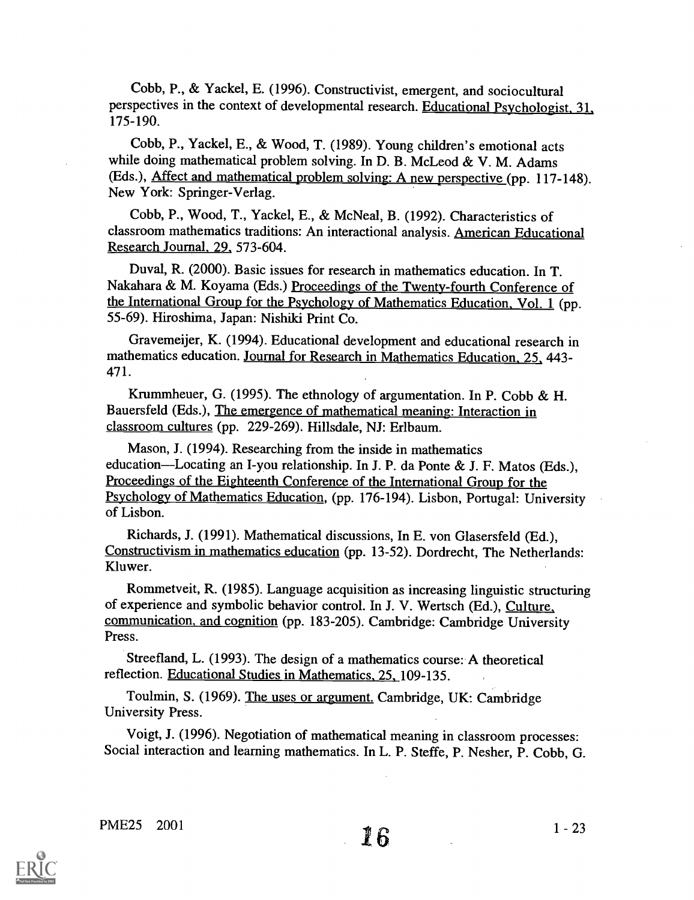Cobb, P., & Yackel, E. (1996). Constructivist, emergent, and sociocultural perspectives in the context of developmental research. Educational Psychologist. 31, 175-190.

Cobb, P., Yackel, E., & Wood, T. (1989). Young children's emotional acts while doing mathematical problem solving. In D. B. McLeod & V. M. Adams (Eds.), Affect and mathematical problem solving: A new perspective (pp. 117-148). New York: Springer-Verlag.

Cobb, P., Wood, T., Yackel, E., & McNeal, B. (1992). Characteristics of classroom mathematics traditions: An interactional analysis. American Educational Research Journal. 29, 573-604.

Duval, R. (2000). Basic issues for research in mathematics education. In T. Nakahara & M. Koyama (Eds.) Proceedings of the Twenty-fourth Conference of the International Group for the Psychology of Mathematics Education, Vol. 1 (pp. 55-69). Hiroshima, Japan: Nishiki Print Co.

Gravemeijer, K. (1994). Educational development and educational research in mathematics education. Journal for Research in Mathematics Education. 25, 443- 471.

Krummheuer, G. (1995). The ethnology of argumentation. In P. Cobb & H. Bauersfeld (Eds.), The emergence of mathematical meaning: Interaction in classroom cultures (pp. 229-269). Hillsdale, NJ: Erlbaum.

Mason, J. (1994). Researching from the inside in mathematics education—Locating an I-you relationship. In J. P. da Ponte & J. F. Matos (Eds.), Proceedings of the Eighteenth Conference of the International Group for the Psychology of Mathematics Education, (pp. 176-194). Lisbon, Portugal: University of Lisbon.

Richards, J. (1991). Mathematical discussions, In E. von Glasersfeld (Ed.), Constructivism in mathematics education (pp. 13-52). Dordrecht, The Netherlands: Kluwer.

Rommetveit, R. (1985). Language acquisition as increasing linguistic structuring of experience and symbolic behavior control. In J. V. Wertsch (Ed.), Culture communication, and cognition (pp. 183-205). Cambridge: Cambridge University Press.

Streefland, L. (1993). The design of a mathematics course: A theoretical reflection. Educational Studies in Mathematics, 25, 109-135.

Toulmin, S. (1969). The uses or argument. Cambridge, UK: Cambridge University Press.

Voigt, J. (1996). Negotiation of mathematical meaning in classroom processes: Social interaction and learning mathematics. In L. P. Steffe, P. Nesher, P. Cobb, G.

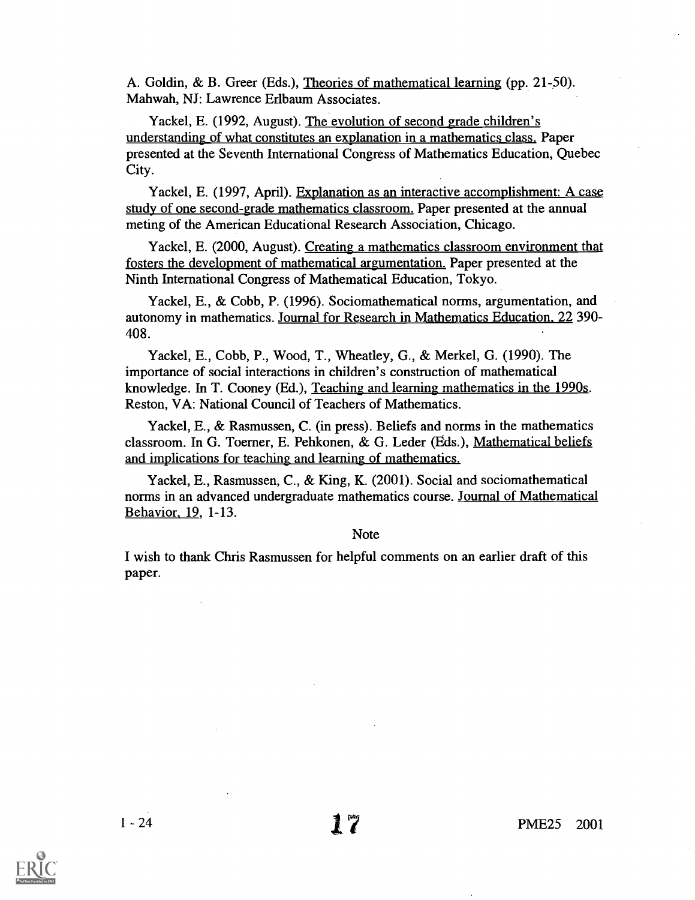A. Goldin, & B. Greer (Eds.), Theories of mathematical learning (pp. 21-50). Mahwah, NJ: Lawrence Erlbaum Associates.

Yackel, E. (1992, August). The evolution of second grade children's understanding of what constitutes an explanation in a mathematics class. Paper presented at the Seventh International Congress of Mathematics Education, Quebec City.

Yackel, E. (1997, April). Explanation as an interactive accomplishment: A case study of one second-grade mathematics classroom. Paper presented at the annual meting of the American Educational Research Association, Chicago.

Yackel, E. (2000, August). Creating a mathematics classroom environment that fosters the development of mathematical argumentation. Paper presented at the Ninth International Congress of Mathematical Education, Tokyo.

Yackel, E., & Cobb, P. (1996). Sociomathematical norms, argumentation, and autonomy in mathematics. Journal for Research in Mathematics Education, 22 390- 408.

Yackel, E., Cobb, P., Wood, T., Wheatley, G., & Merkel, G. (1990). The importance of social interactions in children's construction of mathematical knowledge. In T. Cooney (Ed.), Teaching and learning mathematics in the 1990s. Reston, VA: National Council of Teachers of Mathematics.

Yackel, E., & Rasmussen, C. (in press). Beliefs and norms in the mathematics classroom. In G. Toerner, E. Pehkonen, & G. Leder (Eds.), Mathematical beliefs and implications for teaching and learning of mathematics.

Yackel, E., Rasmussen, C., & King, K. (2001). Social and sociomathematical norms in an advanced undergraduate mathematics course. Journal of Mathematical Behavior, 19, 1-13.

Note

I wish to thank Chris Rasmussen for helpful comments on an earlier draft of this paper.